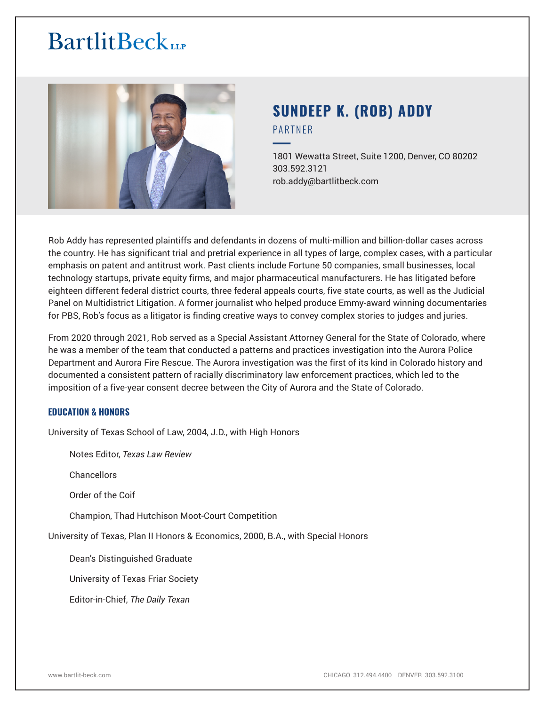

# **SUNDEEP K. (ROB) ADDY** PARTNER

━1801 Wewatta Street, Suite 1200, Denver, CO 80202 303.592.3121 rob.addy@bartlitbeck.com

Rob Addy has represented plaintiffs and defendants in dozens of multi-million and billion-dollar cases across the country. He has significant trial and pretrial experience in all types of large, complex cases, with a particular emphasis on patent and antitrust work. Past clients include Fortune 50 companies, small businesses, local technology startups, private equity firms, and major pharmaceutical manufacturers. He has litigated before eighteen different federal district courts, three federal appeals courts, five state courts, as well as the Judicial Panel on Multidistrict Litigation. A former journalist who helped produce Emmy-award winning documentaries for PBS, Rob's focus as a litigator is finding creative ways to convey complex stories to judges and juries.

From 2020 through 2021, Rob served as a Special Assistant Attorney General for the State of Colorado, where he was a member of the team that conducted a patterns and practices investigation into the Aurora Police Department and Aurora Fire Rescue. The Aurora investigation was the first of its kind in Colorado history and documented a consistent pattern of racially discriminatory law enforcement practices, which led to the imposition of a five-year consent decree between the City of Aurora and the State of Colorado.

#### **EDUCATION & HONORS**

University of Texas School of Law, 2004, J.D., with High Honors

Notes Editor, *Texas Law Review*

Chancellors

Order of the Coif

Champion, Thad Hutchison Moot-Court Competition

University of Texas, Plan II Honors & Economics, 2000, B.A., with Special Honors

Dean's Distinguished Graduate

University of Texas Friar Society

Editor-in-Chief, *The Daily Texan*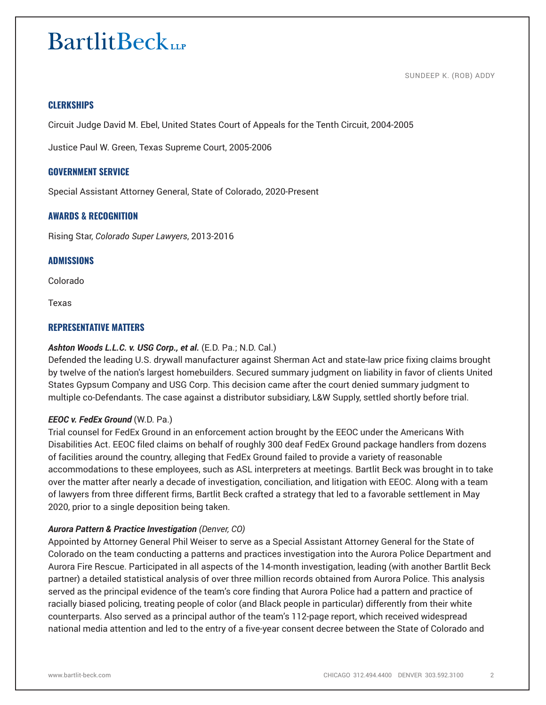SUNDEEP K. (ROB) ADDY

## **CLERKSHIPS**

Circuit Judge David M. Ebel, United States Court of Appeals for the Tenth Circuit, 2004-2005

Justice Paul W. Green, Texas Supreme Court, 2005-2006

#### **GOVERNMENT SERVICE**

Special Assistant Attorney General, State of Colorado, 2020-Present

#### **AWARDS & RECOGNITION**

Rising Star, *Colorado Super Lawyers*, 2013-2016

#### **ADMISSIONS**

Colorado

Texas

#### **REPRESENTATIVE MATTERS**

#### *Ashton Woods L.L.C. v. USG Corp., et al.* (E.D. Pa.; N.D. Cal.)

Defended the leading U.S. drywall manufacturer against Sherman Act and state-law price fixing claims brought by twelve of the nation's largest homebuilders. Secured summary judgment on liability in favor of clients United States Gypsum Company and USG Corp. This decision came after the court denied summary judgment to multiple co-Defendants. The case against a distributor subsidiary, L&W Supply, settled shortly before trial.

#### *EEOC v. FedEx Ground* (W.D. Pa.)

Trial counsel for FedEx Ground in an enforcement action brought by the EEOC under the Americans With Disabilities Act. EEOC filed claims on behalf of roughly 300 deaf FedEx Ground package handlers from dozens of facilities around the country, alleging that FedEx Ground failed to provide a variety of reasonable accommodations to these employees, such as ASL interpreters at meetings. Bartlit Beck was brought in to take over the matter after nearly a decade of investigation, conciliation, and litigation with EEOC. Along with a team of lawyers from three different firms, Bartlit Beck crafted a strategy that led to a favorable settlement in May 2020, prior to a single deposition being taken.

#### *Aurora Pattern & Practice Investigation (Denver, CO)*

Appointed by Attorney General Phil Weiser to serve as a Special Assistant Attorney General for the State of Colorado on the team conducting a patterns and practices investigation into the Aurora Police Department and Aurora Fire Rescue. Participated in all aspects of the 14-month investigation, leading (with another Bartlit Beck partner) a detailed statistical analysis of over three million records obtained from Aurora Police. This analysis served as the principal evidence of the team's core finding that Aurora Police had a pattern and practice of racially biased policing, treating people of color (and Black people in particular) differently from their white counterparts. Also served as a principal author of the team's 112-page report, which received widespread national media attention and led to the entry of a five-year consent decree between the State of Colorado and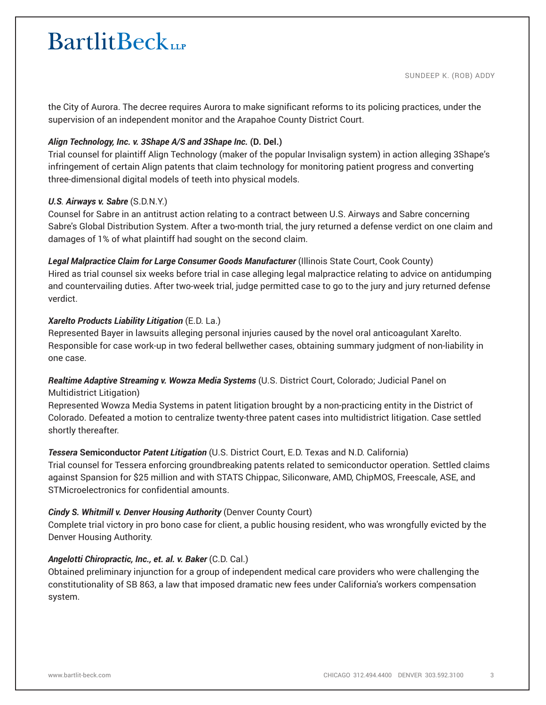the City of Aurora. The decree requires Aurora to make significant reforms to its policing practices, under the supervision of an independent monitor and the Arapahoe County District Court.

## *Align Technology, Inc. v. 3Shape A/S and 3Shape Inc.* **(D. Del.)**

Trial counsel for plaintiff Align Technology (maker of the popular Invisalign system) in action alleging 3Shape's infringement of certain Align patents that claim technology for monitoring patient progress and converting three-dimensional digital models of teeth into physical models.

## *U.S. Airways v. Sabre* (S.D.N.Y.)

Counsel for Sabre in an antitrust action relating to a contract between U.S. Airways and Sabre concerning Sabre's Global Distribution System. After a two-month trial, the jury returned a defense verdict on one claim and damages of 1% of what plaintiff had sought on the second claim.

## *Legal Malpractice Claim for Large Consumer Goods Manufacturer* (Illinois State Court, Cook County)

Hired as trial counsel six weeks before trial in case alleging legal malpractice relating to advice on antidumping and countervailing duties. After two-week trial, judge permitted case to go to the jury and jury returned defense verdict.

## *Xarelto Products Liability Litigation* (E.D. La.)

Represented Bayer in lawsuits alleging personal injuries caused by the novel oral anticoagulant Xarelto. Responsible for case work-up in two federal bellwether cases, obtaining summary judgment of non-liability in one case.

# *Realtime Adaptive Streaming v. Wowza Media Systems* (U.S. District Court, Colorado; Judicial Panel on Multidistrict Litigation)

Represented Wowza Media Systems in patent litigation brought by a non-practicing entity in the District of Colorado. Defeated a motion to centralize twenty-three patent cases into multidistrict litigation. Case settled shortly thereafter.

# *Tessera* **Semiconductor** *Patent Litigation* (U.S. District Court, E.D. Texas and N.D. California)

Trial counsel for Tessera enforcing groundbreaking patents related to semiconductor operation. Settled claims against Spansion for \$25 million and with STATS Chippac, Siliconware, AMD, ChipMOS, Freescale, ASE, and STMicroelectronics for confidential amounts.

# *Cindy S. Whitmill v. Denver Housing Authority* (Denver County Court)

Complete trial victory in pro bono case for client, a public housing resident, who was wrongfully evicted by the Denver Housing Authority.

# *Angelotti Chiropractic, Inc., et. al. v. Baker* (C.D. Cal.)

Obtained preliminary injunction for a group of independent medical care providers who were challenging the constitutionality of SB 863, a law that imposed dramatic new fees under California's workers compensation system.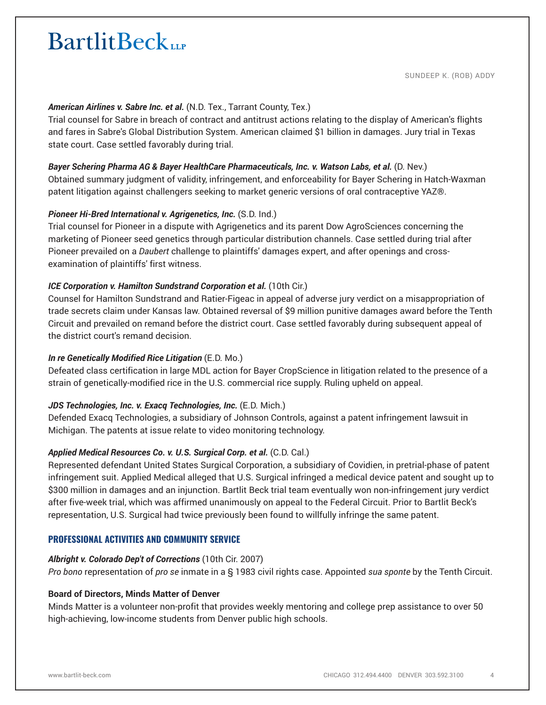SUNDEEP K. (ROB) ADDY

#### *American Airlines v. Sabre Inc. et al.* (N.D. Tex., Tarrant County, Tex.)

Trial counsel for Sabre in breach of contract and antitrust actions relating to the display of American's flights and fares in Sabre's Global Distribution System. American claimed \$1 billion in damages. Jury trial in Texas state court. Case settled favorably during trial.

#### *Bayer Schering Pharma AG & Bayer HealthCare Pharmaceuticals, Inc. v. Watson Labs, et al.* (D. Nev.)

Obtained summary judgment of validity, infringement, and enforceability for Bayer Schering in Hatch-Waxman patent litigation against challengers seeking to market generic versions of oral contraceptive YAZ®.

#### *Pioneer Hi-Bred International v. Agrigenetics, Inc.* (S.D. Ind.)

Trial counsel for Pioneer in a dispute with Agrigenetics and its parent Dow AgroSciences concerning the marketing of Pioneer seed genetics through particular distribution channels. Case settled during trial after Pioneer prevailed on a *Daubert* challenge to plaintiffs' damages expert, and after openings and crossexamination of plaintiffs' first witness.

#### *ICE Corporation v. Hamilton Sundstrand Corporation et al.* (10th Cir.)

Counsel for Hamilton Sundstrand and Ratier-Figeac in appeal of adverse jury verdict on a misappropriation of trade secrets claim under Kansas law. Obtained reversal of \$9 million punitive damages award before the Tenth Circuit and prevailed on remand before the district court. Case settled favorably during subsequent appeal of the district court's remand decision.

#### *In re Genetically Modified Rice Litigation* (E.D. Mo.)

Defeated class certification in large MDL action for Bayer CropScience in litigation related to the presence of a strain of genetically-modified rice in the U.S. commercial rice supply. Ruling upheld on appeal.

#### JDS Technologies, Inc. v. Exacq Technologies, Inc. (E.D. Mich.)

Defended Exacq Technologies, a subsidiary of Johnson Controls, against a patent infringement lawsuit in Michigan. The patents at issue relate to video monitoring technology.

#### *Applied Medical Resources Co. v. U.S. Surgical Corp. et al.* (C.D. Cal.)

Represented defendant United States Surgical Corporation, a subsidiary of Covidien, in pretrial-phase of patent infringement suit. Applied Medical alleged that U.S. Surgical infringed a medical device patent and sought up to \$300 million in damages and an injunction. Bartlit Beck trial team eventually won non-infringement jury verdict after five-week trial, which was affirmed unanimously on appeal to the Federal Circuit. Prior to Bartlit Beck's representation, U.S. Surgical had twice previously been found to willfully infringe the same patent.

#### **PROFESSIONAL ACTIVITIES AND COMMUNITY SERVICE**

#### *Albright v. Colorado Dep't of Corrections* (10th Cir. 2007)

*Pro bono* representation of *pro se* inmate in a § 1983 civil rights case. Appointed *sua sponte* by the Tenth Circuit.

#### **Board of Directors, Minds Matter of Denver**

Minds Matter is a volunteer non-profit that provides weekly mentoring and college prep assistance to over 50 high-achieving, low-income students from Denver public high schools.